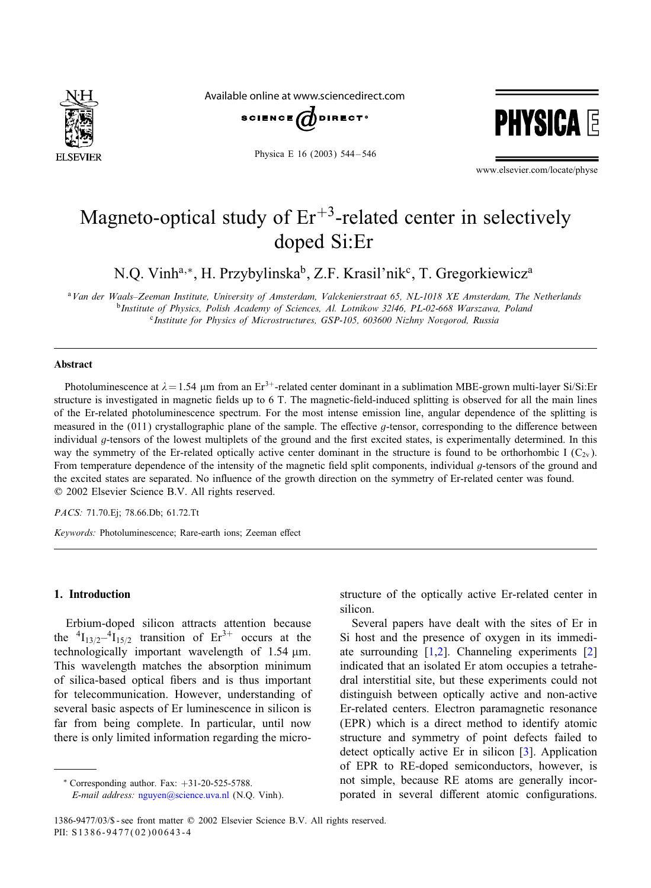

Available online at www.sciencedirect.com



Physica E 16 (2003) 544 – 546



www.elsevier.com/locate/physe

# Magneto-optical study of  $Er^{+3}$ -related center in selectively doped Si:Er

N.Q. Vinh<sup>a,∗</sup>, H. Przybylinska<sup>b</sup>, Z.F. Krasil'nik<sup>c</sup>, T. Gregorkiewicz<sup>a</sup>

<sup>a</sup>*Van der Waals–Zeeman Institute, University of Amsterdam, Valckenierstraat 65, NL-1018 XE Amsterdam, The Netherlands* <sup>b</sup>*Institute of Physics, Polish Academy of Sciences, Al. Lotnikow 32/46, PL-02-668 Warszawa, Poland* <sup>c</sup>*Institute for Physics of Microstructures, GSP-105, 603600 Nizhny Novgorod, Russia*

#### Abstract

Photoluminescence at  $\lambda = 1.54$  µm from an Er<sup>3+</sup>-related center dominant in a sublimation MBE-grown multi-layer Si/Si:Er structure is investigated in magnetic fields up to 6 T. The magnetic-field-induced splitting is observed for all the main lines of the Er-related photoluminescence spectrum. For the most intense emission line, angular dependence of the splitting is measured in the  $(011)$  crystallographic plane of the sample. The effective *q*-tensor, corresponding to the difference between individual  $q$ -tensors of the lowest multiplets of the ground and the first excited states, is experimentally determined. In this way the symmetry of the Er-related optically active center dominant in the structure is found to be orthorhombic I  $(C_{2v})$ . From temperature dependence of the intensity of the magnetic field split components, individual  $q$ -tensors of the ground and the excited states are separated. No influence of the growth direction on the symmetry of Er-related center was found. ? 2002 Elsevier Science B.V. All rights reserved.

*PACS:* 71.70.Ej; 78.66.Db; 61.72.Tt

*Keywords:* Photoluminescence; Rare-earth ions; Zeeman effect

# 1. Introduction

Erbium-doped silicon attracts attention because the  ${}^{4}I_{13/2}$ - ${}^{4}I_{15/2}$  transition of Er<sup>3+</sup> occurs at the technologically important wavelength of  $1.54 \mu m$ . This wavelength matches the absorption minimum of silica-based optical 8bers and is thus important for telecommunication. However, understanding of several basic aspects of Er luminescence in silicon is far from being complete. In particular, until now there is only limited information regarding the micro-

∗ Corresponding author. Fax: +31-20-525-5788.

*E-mail address:* [nguyen@science.uva.nl](mailto:nguyen@science.uva.nl) (N.Q. Vinh).

structure of the optically active Er-related center in silicon.

Several papers have dealt with the sites of Er in Si host and the presence of oxygen in its immediate surrounding  $[1,2]$ . Channeling experiments  $[2]$ indicated that an isolated Er atom occupies a tetrahedral interstitial site, but these experiments could not distinguish between optically active and non-active Er-related centers. Electron paramagnetic resonance (EPR) which is a direct method to identify atomic structure and symmetry of point defects failed to detect optically active Er in silicon  $[3]$ . Application of EPR to RE-doped semiconductors, however, is not simple, because RE atoms are generally incorporated in several different atomic configurations.

<sup>1386-9477/03/\$ -</sup> see front matter © 2002 Elsevier Science B.V. All rights reserved. PII: S1386-9477(02)00643-4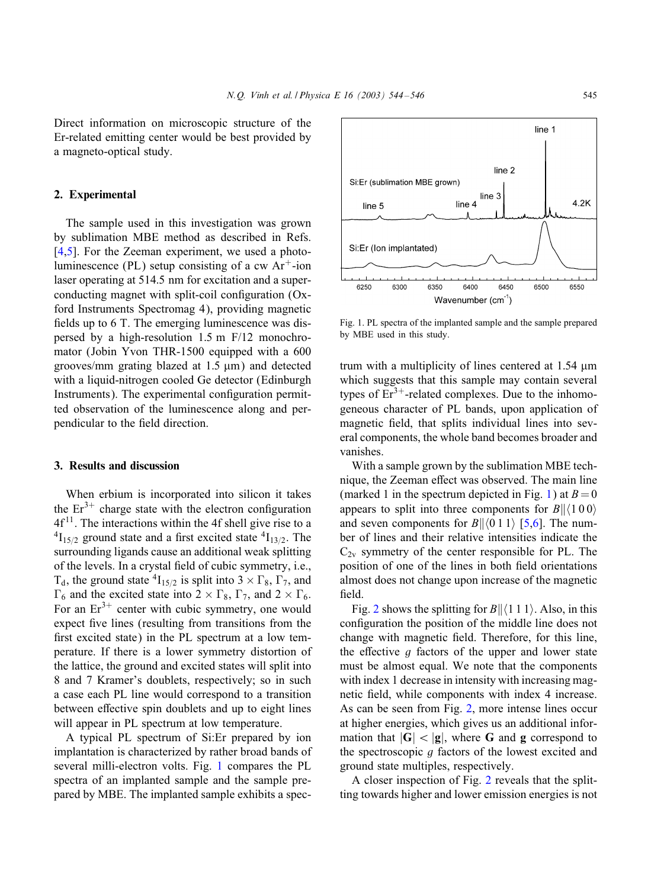Direct information on microscopic structure of the Er-related emitting center would be best provided by a magneto-optical study.

# 2. Experimental

The sample used in this investigation was grown by sublimation MBE method as described in Refs.  $[4,5]$ . For the Zeeman experiment, we used a photoluminescence (PL) setup consisting of a cw  $Ar^+$ -ion laser operating at 514.5 nm for excitation and a superconducting magnet with split-coil configuration  $(Ox$ ford Instruments Spectromag 4), providing magnetic fields up to 6 T. The emerging luminescence was dispersed by a high-resolution  $1.5$  m  $F/12$  monochromator (Jobin Yvon THR-1500 equipped with a 600 grooves/mm grating blazed at  $1.5 \mu m$ ) and detected with a liquid-nitrogen cooled Ge detector (Edinburgh Instruments). The experimental configuration permitted observation of the luminescence along and perpendicular to the field direction.

## 3. Results and discussion

When erbium is incorporated into silicon it takes the  $Er^{3+}$  charge state with the electron configuration  $4f<sup>11</sup>$ . The interactions within the 4f shell give rise to a  $^{4}I_{15/2}$  ground state and a first excited state  $^{4}I_{13/2}$ . The surrounding ligands cause an additional weak splitting of the levels. In a crystal field of cubic symmetry, i.e.,  $T_d$ , the ground state  ${}^4I_{15/2}$  is split into  $3 \times \Gamma_8$ ,  $\Gamma_7$ , and  $\Gamma_6$  and the excited state into  $2 \times \Gamma_8$ ,  $\Gamma_7$ , and  $2 \times \Gamma_6$ . For an  $Er^{3+}$  center with cubic symmetry, one would expect five lines (resulting from transitions from the first excited state) in the PL spectrum at a low temperature. If there is a lower symmetry distortion of the lattice, the ground and excited states will split into 8 and 7 Kramer's doublets, respectively; so in such a case each PL line would correspond to a transition between effective spin doublets and up to eight lines will appear in PL spectrum at low temperature.

A typical PL spectrum of Si:Er prepared by ion implantation is characterized by rather broad bands of several milli-electron volts. Fig. 1 compares the PL spectra of an implanted sample and the sample prepared by MBE. The implanted sample exhibits a spec-



Fig. 1. PL spectra of the implanted sample and the sample prepared by MBE used in this study.

trum with a multiplicity of lines centered at  $1.54 \mu m$ which suggests that this sample may contain several types of  $Er<sup>3+</sup>$ -related complexes. Due to the inhomogeneous character of PL bands, upon application of magnetic field, that splits individual lines into several components, the whole band becomes broader and vanishes.

With a sample grown by the sublimation MBE technique, the Zeeman effect was observed. The main line (marked 1 in the spectrum depicted in Fig. 1) at  $B=0$ appears to split into three components for  $B\| \langle 100 \rangle$ and seven components for  $B\| \langle 0\,1\,1 \rangle$  [\[5,6\]](#page-2-0). The number of lines and their relative intensities indicate the  $C_{2v}$  symmetry of the center responsible for PL. The position of one of the lines in both field orientations almost does not change upon increase of the magnetic field.

Fig. [2](#page-2-0) shows the splitting for  $B \parallel \langle 1\,1 \,1 \rangle$ . Also, in this configuration the position of the middle line does not change with magnetic field. Therefore, for this line, the effective  $g$  factors of the upper and lower state must be almost equal. We note that the components with index 1 decrease in intensity with increasing magnetic field, while components with index 4 increase. As can be seen from Fig. [2,](#page-2-0) more intense lines occur at higher energies, which gives us an additional information that  $|G| < |g|$ , where G and g correspond to the spectroscopic g factors of the lowest excited and ground state multiples, respectively.

A closer inspection of Fig. [2](#page-2-0) reveals that the splitting towards higher and lower emission energies is not